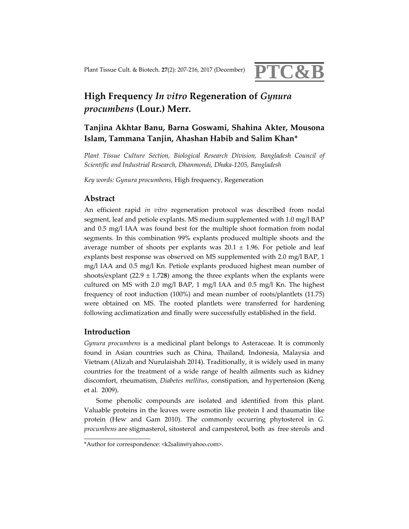

# **High Frequency** *In vitro* **Regeneration of** *Gynura procumbens* **(Lour.) Merr.**

# **Tanjina Akhtar Banu, Barna Goswami, Shahina Akter, Mousona Islam, Tammana Tanjin, Ahashan Habib and Salim Khan\***

*Plant Tissue Culture Section, Biological Research Division, Bangladesh Council of Scientific and Industrial Research, Dhanmondi, Dhaka‐1205, Bangladesh*

*Key words: Gynura procumbens,* High frequency, Regeneration

# **Abstract**

An efficient rapid *in vitro* regeneration protocol was described from nodal segment, leaf and petiole explants. MS medium supplemented with 1.0 mg/l BAP and 0.5 mg/l IAA was found best for the multiple shoot formation from nodal segments. In this combination 99% explants produced multiple shoots and the average number of shoots per explants was  $20.1 \pm 1.96$ . For petiole and leaf explants best response was observed on MS supplemented with 2.0 mg/l BAP, 1 mg/l IAA and 0.5 mg/l Kn. Petiole explants produced highest mean number of shoots/explant (22.9 ± 1.72**8**) among the three explants when the explants were cultured on MS with 2.0 mg/l BAP, 1 mg/l IAA and 0.5 mg/l Kn. The highest frequency of root induction (100%) and mean number of roots/plantlets (11.75) were obtained on MS. The rooted plantlets were transferred for hardening following acclimatization and finally were successfully established in the field.

# **Introduction**

*Gynura procumbens* is a medicinal plant belongs to Asteraceae. It is commonly found in Asian countries such as China, Thailand, Indonesia, Malaysia and Vietnam (Alizah and Nurulaishah 2014). Traditionally, it is widely used in many countries for the treatment of a wide range of health ailments such as kidney discomfort, rheumatism, *Diabetes mellitus*, constipation, and hypertension (Keng et al*.* 2009).

Some phenolic compounds are isolated and identified from this plant. Valuable proteins in the leaves were osmotin like protein I and thaumatin like protein (Hew and Gam 2010)*.* The commonly occurring phytosterol in *G. procumbens* are stigmasterol, sitosterol and campesterol, both as free sterols and

<sup>\*</sup>Author for correspondence: <k2salim@yahoo.com>.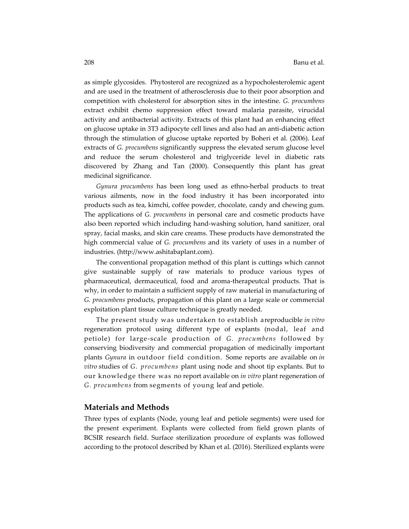as simple glycosides. Phytosterol are recognized as a hypocholesterolemic agent and are used in the treatment of atherosclerosis due to their poor absorption and competition with cholesterol for absorption sites in the intestine. *G. procumbens* extract exhibit chemo suppression effect toward malaria parasite, virucidal activity and antibacterial activity. Extracts of this plant had an enhancing effect on glucose uptake in 3T3 adipocyte cell lines and also had an anti‐diabetic action through the stimulation of glucose uptake reported by Boheri et al. (2006). Leaf extracts of *G. procumbens* significantly suppress the elevated serum glucose level and reduce the serum cholesterol and triglyceride level in diabetic rats discovered by Zhang and Tan (2000). Consequently this plant has great medicinal significance.

*Gynura procumbens* has been long used as ethno‐herbal products to treat various ailments, now in the food industry it has been incorporated into products such as tea, kimchi, coffee powder, chocolate, candy and chewing gum. The applications of *G. procumbens* in personal care and cosmetic products have also been reported which including hand‐washing solution, hand sanitizer, oral spray, facial masks, and skin care creams. These products have demonstrated the high commercial value of *G. procumbens* and its variety of uses in a number of industries. (http://www.ashitabaplant.com).

The conventional propagation method of this plant is cuttings which cannot give sustainable supply of raw materials to produce various types of pharmaceutical, dermaceutical, food and aroma‐therapeutcal products. That is why, in order to maintain a sufficient supply of raw material in manufacturing of *G. procumbens* products, propagation of this plant on a large scale or commercial exploitation plant tissue culture technique is greatly needed.

The present study was undertaken to establish areproducible *in vitro* regeneration protocol using different type of explants (nodal, leaf and petiole) for large‐scale production of *G. procumbens* followed by conserving biodiversity and commercial propagation of medicinally important plants *Gynura* in outdoor field condition. Some reports are available on *in vitro* studies of *G. procumbens* plant using node and shoot tip explants. But to our knowledge there was no report available on *in vitro* plant regeneration of *G. procumbens* from segments of young leaf and petiole.

#### **Materials and Methods**

Three types of explants (Node, young leaf and petiole segments) were used for the present experiment. Explants were collected from field grown plants of BCSIR research field. Surface sterilization procedure of explants was followed according to the protocol described by Khan et al. (2016). Sterilized explants were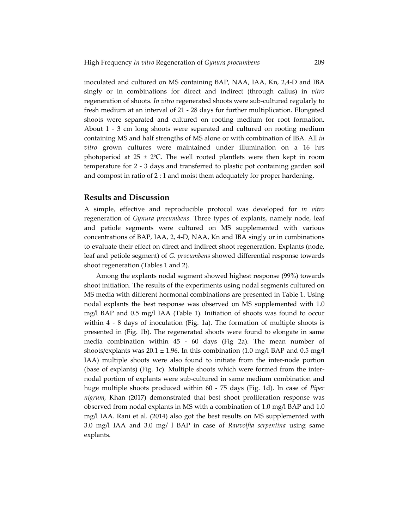inoculated and cultured on MS containing BAP, NAA, IAA, Kn, 2,4‐D and IBA singly or in combinations for direct and indirect (through callus) in *vitro* regeneration of shoots. *In vitro* regenerated shoots were sub‐cultured regularly to fresh medium at an interval of 21 ‐ 28 days for further multiplication. Elongated shoots were separated and cultured on rooting medium for root formation. About 1 - 3 cm long shoots were separated and cultured on rooting medium containing MS and half strengths of MS alone or with combination of IBA. All *in vitro* grown cultures were maintained under illumination on a 16 hrs photoperiod at 25  $\pm$  2°C. The well rooted plantlets were then kept in room temperature for 2 ‐ 3 days and transferred to plastic pot containing garden soil and compost in ratio of 2 : 1 and moist them adequately for proper hardening.

#### **Results and Discussion**

A simple, effective and reproducible protocol was developed for *in vitro* regeneration of *Gynura procumbens.* Three types of explants, namely node, leaf and petiole segments were cultured on MS supplemented with various concentrations of BAP, IAA, 2, 4‐D, NAA, Kn and IBA singly or in combinations to evaluate their effect on direct and indirect shoot regeneration. Explants (node, leaf and petiole segment) of *G. procumbens* showed differential response towards shoot regeneration (Tables 1 and 2).

Among the explants nodal segment showed highest response (99%) towards shoot initiation. The results of the experiments using nodal segments cultured on MS media with different hormonal combinations are presented in Table 1. Using nodal explants the best response was observed on MS supplemented with 1.0 mg/l BAP and 0.5 mg/l IAA (Table 1). Initiation of shoots was found to occur within 4 - 8 days of inoculation (Fig. 1a). The formation of multiple shoots is presented in (Fig. 1b). The regenerated shoots were found to elongate in same media combination within 45 - 60 days (Fig 2a). The mean number of shoots/explants was  $20.1 \pm 1.96$ . In this combination (1.0 mg/l BAP and 0.5 mg/l IAA) multiple shoots were also found to initiate from the inter-node portion (base of explants) (Fig. 1c). Multiple shoots which were formed from the inter‐ nodal portion of explants were sub‐cultured in same medium combination and huge multiple shoots produced within 60 ‐ 75 days (Fig. 1d). In case of *Piper nigrum,* Khan (2017) demonstrated that best shoot proliferation response was observed from nodal explants in MS with a combination of 1.0 mg/l BAP and 1.0 mg/l IAA. Rani et al. (2014) also got the best results on MS supplemented with 3.0 mg/l IAA and 3.0 mg/ l BAP in case of *Rauvolfia serpentina* using same explants.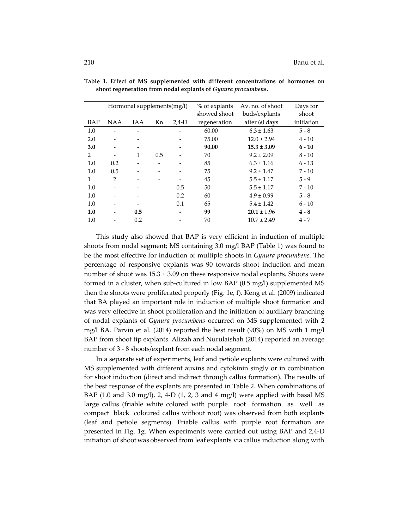|               |                | Hormonal supplements(mg/l) |     |         | % of explants | Av. no. of shoot | Days for   |
|---------------|----------------|----------------------------|-----|---------|---------------|------------------|------------|
|               |                |                            |     |         | showed shoot  | buds/explants    | shoot      |
| BAP           | <b>NAA</b>     | <b>IAA</b>                 | Kn  | $2.4-D$ | regeneration  | after 60 days    | initiation |
| 1.0           |                |                            |     |         | 60.00         | $6.3 \pm 1.63$   | $5 - 8$    |
| 2.0           |                |                            |     |         | 75.00         | $12.0 \pm 2.94$  | $4 - 10$   |
| 3.0           |                |                            |     |         | 90.00         | $15.3 \pm 3.09$  | $6 - 10$   |
| $\mathcal{P}$ |                | 1                          | 0.5 |         | 70            | $9.2 \pm 2.09$   | $8 - 10$   |
| 1.0           | 0.2            |                            |     |         | 85            | $6.3 \pm 1.16$   | $6 - 13$   |
| 1.0           | 0.5            |                            |     |         | 75            | $9.2 \pm 1.47$   | $7 - 10$   |
| 1             | $\mathfrak{D}$ |                            |     |         | 45            | $5.5 \pm 1.17$   | $5 - 9$    |
| 1.0           |                |                            |     | 0.5     | 50            | $5.5 \pm 1.17$   | $7 - 10$   |
| 1.0           |                |                            |     | 0.2     | 60            | $4.9 \pm 0.99$   | $5 - 8$    |
| 1.0           |                |                            |     | 0.1     | 65            | $5.4 \pm 1.42$   | $6 - 10$   |
| 1.0           |                | 0.5                        |     |         | 99            | $20.1 \pm 1.96$  | $4 - 8$    |
| 1.0           |                | 0.2                        |     |         | 70            | $10.7 \pm 2.49$  | $4 - 7$    |

**Table 1. Effect of MS supplemented with different concentrations of hormones on shoot regeneration from nodal explants of** *Gynura procumbens***.** 

This study also showed that BAP is very efficient in induction of multiple shoots from nodal segment; MS containing 3.0 mg/l BAP (Table 1) was found to be the most effective for induction of multiple shoots in *Gynura procumbens.* The percentage of responsive explants was 90 towards shoot induction and mean number of shoot was  $15.3 \pm 3.09$  on these responsive nodal explants. Shoots were formed in a cluster, when sub‐cultured in low BAP (0.5 mg/l) supplemented MS then the shoots were proliferated properly (Fig. 1e, f). Keng et al. (2009) indicated that BA played an important role in induction of multiple shoot formation and was very effective in shoot proliferation and the initiation of auxillary branching of nodal explants of *Gynura procumbens* occurred on MS supplemented with 2 mg/l BA. Parvin et al. (2014) reported the best result (90%) on MS with 1 mg/l BAP from shoot tip explants. Alizah and Nurulaishah (2014) reported an average number of 3 - 8 shoots/explant from each nodal segment.

In a separate set of experiments, leaf and petiole explants were cultured with MS supplemented with different auxins and cytokinin singly or in combination for shoot induction (direct and indirect through callus formation). The results of the best response of the explants are presented in Table 2. When combinations of BAP (1.0 and 3.0 mg/l), 2, 4-D (1, 2, 3 and 4 mg/l) were applied with basal MS large callus (friable white colored with purple root formation as well as compact black coloured callus without root) was observed from both explants (leaf and petiole segments). Friable callus with purple root formation are presented in Fig. 1g. When experiments were carried out using BAP and 2,4‐D initiation of shoot was observed from leaf explants via callus induction along with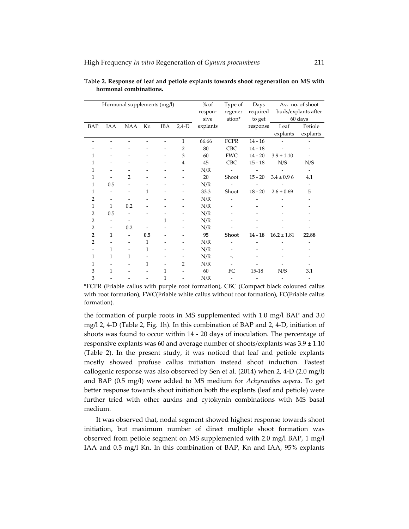| Hormonal supplements (mg/l) |                          |                          |              |              | $%$ of         | Type of  | Days<br>Av. no. of shoot |                          |                          |                          |
|-----------------------------|--------------------------|--------------------------|--------------|--------------|----------------|----------|--------------------------|--------------------------|--------------------------|--------------------------|
|                             |                          |                          |              |              |                | respon-  | regener                  | required                 |                          | buds/explants after      |
|                             |                          |                          |              |              |                | sive     | ation*                   | to get                   |                          | 60 days                  |
| BAP                         | IAA                      | NAA                      | Kn           | IBA          | $2,4-D$        | explants |                          | response                 | Leaf                     | Petiole                  |
|                             |                          |                          |              |              |                |          |                          |                          | explants                 | explants                 |
|                             |                          |                          |              |              | $\mathbf{1}$   | 66.66    | <b>FCPR</b>              | $14 - 16$                |                          |                          |
|                             |                          |                          |              |              | $\overline{2}$ | $80\,$   | <b>CBC</b>               | $14 - 18$                |                          |                          |
|                             |                          |                          |              |              | 3              | 60       | <b>FWC</b>               | $14 - 20$                | $3.9 \pm 1.10$           |                          |
| 1                           |                          |                          |              |              | $\overline{4}$ | 45       | <b>CBC</b>               | $15 - 18$                | N/S                      | N/S                      |
| 1                           |                          |                          |              |              |                | N/R      |                          |                          |                          | $\overline{\phantom{0}}$ |
| 1                           |                          | $\overline{2}$           |              |              |                | 20       | Shoot                    | $15 - 20$                | $3.4 \pm 0.96$           | 4.1                      |
| 1                           | 0.5                      |                          |              |              |                | N/R      |                          |                          |                          |                          |
| 1                           |                          |                          | 1            |              |                | 33.3     | Shoot                    | $18 - 20$                | $2.6 \pm 0.69$           | 5                        |
| 2                           |                          |                          |              |              |                | N/R      |                          |                          |                          |                          |
| 1                           | $\mathbf{1}$             | 0.2                      |              |              |                | N/R      |                          |                          |                          |                          |
| $\overline{2}$              | 0.5                      |                          |              |              |                | N/R      |                          |                          |                          |                          |
| $\overline{2}$              | $\overline{\phantom{0}}$ | ۰                        |              | $\mathbf{1}$ |                | N/R      |                          |                          |                          |                          |
| 2                           | $\overline{\phantom{0}}$ | 0.2                      |              |              |                | N/R      |                          |                          |                          |                          |
| $\overline{2}$              | $\mathbf{1}$             | $\overline{a}$           | 0.5          |              |                | 95       | Shoot                    | $14 - 18$                | $16.2 \pm 1.81$          | 22.88                    |
| 2                           |                          | $\overline{\phantom{0}}$ | $\mathbf{1}$ |              |                | N/R      |                          |                          |                          |                          |
|                             | 1                        |                          | 1            |              |                | N/R      |                          |                          |                          |                          |
| 1                           | 1                        | 1                        |              |              |                | N/R      | ۰.                       |                          |                          |                          |
| 1                           |                          |                          | 1            |              | 2              | N/R      |                          |                          |                          |                          |
| 3                           | 1                        |                          |              | 1            |                | 60       | FC                       | $15 - 18$                | N/S                      | 3.1                      |
| 3                           |                          |                          |              | 1            |                | N/R      | $\overline{\phantom{a}}$ | $\overline{\phantom{m}}$ | $\overline{\phantom{m}}$ | $\overline{\phantom{0}}$ |

**Table 2. Response of leaf and petiole explants towards shoot regeneration on MS with hormonal combinations.**

\*FCPR (Friable callus with purple root formation), CBC (Compact black coloured callus with root formation), FWC(Friable white callus without root formation), FC(Friable callus formation).

the formation of purple roots in MS supplemented with 1.0 mg/l BAP and 3.0 mg/l 2, 4‐D (Table 2, Fig. 1h). In this combination of BAP and 2, 4‐D, initiation of shoots was found to occur within 14 ‐ 20 days of inoculation. The percentage of responsive explants was 60 and average number of shoots/explants was  $3.9 \pm 1.10$ (Table 2). In the present study, it was noticed that leaf and petiole explants mostly showed profuse callus initiation instead shoot induction. Fastest callogenic response was also observed by Sen et al. (2014) when 2, 4‐D (2.0 mg/l) and BAP (0.5 mg/l) were added to MS medium for *Achyranthes aspera*. To get better response towards shoot initiation both the explants (leaf and petiole) were further tried with other auxins and cytokynin combinations with MS basal medium.

It was observed that, nodal segment showed highest response towards shoot initiation, but maximum number of direct multiple shoot formation was observed from petiole segment on MS supplemented with 2.0 mg/l BAP, 1 mg/l IAA and 0.5 mg/l Kn. In this combination of BAP, Kn and IAA, 95% explants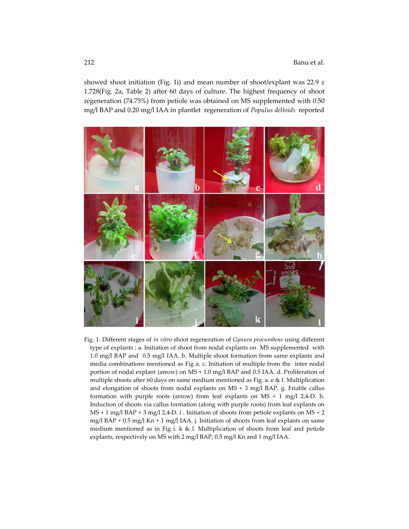showed shoot initiation (Fig. 1i) and mean number of shoot/explant was  $22.9 \pm$ 1.728(Fig. 2a, Table 2) after 60 days of culture. The highest frequency of shoot regeneration (74.75%) from petiole was obtained on MS supplemented with 0.50 mg/l BAP and 0.20 mg/l IAA in plantlet regeneration of *Populus deltoids* reported



Fig. 1. Different stages of *in vitro* shoot regeneration of *Gynura procumbens* using different type of explants : a. Initiation of shoot from nodal explants on MS supplemented with 1.0 mg/l BAP and 0.5 mg/l IAA. b. Multiple shoot formation from same explants and media combinations mentioned as Fig a. c. Initiation of multiple from the inter nodal portion of nodal explant (arrow) on MS + 1.0 mg/l BAP and 0.5 IAA. d. Proliferation of multiple shoots after 60 days on same medium mentioned as Fig. a. e & f. Multiplication and elongation of shoots from nodal explants on MS + 3 mg/l BAP. g. Friable callus formation with purple roots (arrow) from leaf explants on  $MS + 1$  mg/l 2,4-D. h. Induction of shoots via callus formation (along with purple roots) from leaf explants on  $MS + 1$  mg/l  $BAP + 3$  mg/l  $2,4$ -D. i . Initiation of shoots from petiole explants on MS + 2 mg/l BAP + 0.5 mg/l Kn + 1 mg/l IAA. j. Initiation of shoots from leaf explants on same medium mentioned as in Fig i. k & l. Multiplication of shoots from leaf and petiole explants, respectively on MS with 2 mg/l BAP, 0.5 mg/l Kn and 1 mg/l IAA.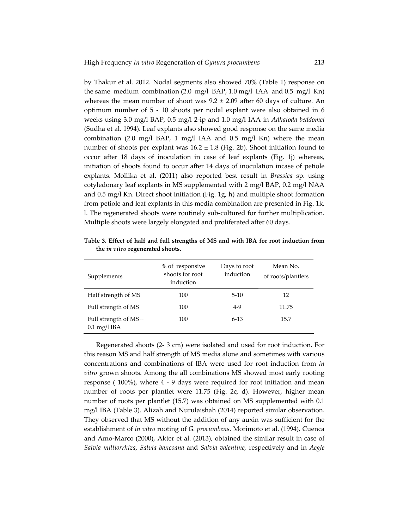by Thakur et al. 2012. Nodal segments also showed 70% (Table 1) response on the same medium combination (2.0 mg/l BAP, 1.0 mg/l IAA and 0.5 mg/l Kn) whereas the mean number of shoot was  $9.2 \pm 2.09$  after 60 days of culture. An optimum number of 5 ‐ 10 shoots per nodal explant were also obtained in 6 weeks using 3.0 mg/l BAP, 0.5 mg/l 2‐ip and 1.0 mg/l IAA in *Adhatoda beddomei* (Sudha et al. 1994). Leaf explants also showed good response on the same media combination (2.0 mg/l BAP, 1 mg/l IAA and 0.5 mg/l Kn) where the mean number of shoots per explant was  $16.2 \pm 1.8$  (Fig. 2b). Shoot initiation found to occur after 18 days of inoculation in case of leaf explants (Fig. 1j) whereas, initiation of shoots found to occur after 14 days of inoculation incase of petiole explants. Mollika et al. (2011) also reported best result in *Brassica* sp. using cotyledonary leaf explants in MS supplemented with 2 mg/l BAP, 0.2 mg/l NAA and 0.5 mg/l Kn. Direct shoot initiation (Fig. 1g, h) and multiple shoot formation from petiole and leaf explants in this media combination are presented in Fig. 1k, l. The regenerated shoots were routinely sub‐cultured for further multiplication. Multiple shoots were largely elongated and proliferated after 60 days.

| Supplements                                                   | % of responsive<br>shoots for root<br>induction | Days to root<br>induction | Mean No.<br>of roots/plantlets |
|---------------------------------------------------------------|-------------------------------------------------|---------------------------|--------------------------------|
| Half strength of MS                                           | 100                                             | $5-10$                    | 12                             |
| Full strength of MS                                           | 100                                             | $4-9$                     | 11.75                          |
| Full strength of MS +<br>$0.1 \,\mathrm{mg}/l \,\mathrm{IBA}$ | 100                                             | $6-13$                    | 15.7                           |

**Table 3. Effect of half and full strengths of MS and with IBA for root induction from the** *in vitro* **regenerated shoots.**

Regenerated shoots (2‐ 3 cm) were isolated and used for root induction. For this reason MS and half strength of MS media alone and sometimes with various concentrations and combinations of IBA were used for root induction from *in vitro* grown shoots. Among the all combinations MS showed most early rooting response (100%), where 4 - 9 days were required for root initiation and mean number of roots per plantlet were 11.75 (Fig. 2c, d). However, higher mean number of roots per plantlet (15.7) was obtained on MS supplemented with 0.1 mg/l IBA (Table 3). Alizah and Nurulaishah (2014) reported similar observation. They observed that MS without the addition of any auxin was sufficient for the establishment of *in vitro* rooting of *G. procumbens*. Morimoto et al. (1994), Cuenca and Amo‐Marco (2000), Akter et al. (2013), obtained the similar result in case of *Salvia miltiorrhiza*, *Salvia bancoana* and *Salvia valentine,* respectively and in *Aegle*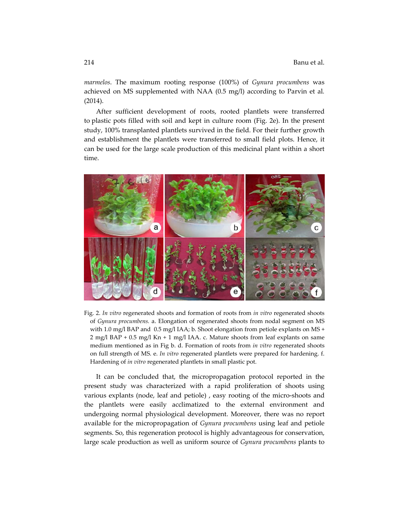*marmelos*. The maximum rooting response (100%) of *Gynura procumbens* was achieved on MS supplemented with NAA (0.5 mg/l) according to Parvin et al*.* (2014).

After sufficient development of roots, rooted plantlets were transferred to plastic pots filled with soil and kept in culture room (Fig. 2e). In the present study, 100% transplanted plantlets survived in the field. For their further growth and establishment the plantlets were transferred to small field plots. Hence, it can be used for the large scale production of this medicinal plant within a short time.



Fig. 2. *In vitro* regenerated shoots and formation of roots from *in vitro* regenerated shoots of *Gynura procumbens.* a. Elongation of regenerated shoots from nodal segment on MS with 1.0 mg/l BAP and  $0.5$  mg/l IAA; b. Shoot elongation from petiole explants on MS + 2 mg/l BAP + 0.5 mg/l Kn + 1 mg/l IAA. c. Mature shoots from leaf explants on same medium mentioned as in Fig b. d. Formation of roots from *in vitro* regenerated shoots on full strength of MS. e. *In vitro* regenerated plantlets were prepared for hardening. f. Hardening of *in vitro* regenerated plantlets in small plastic pot.

It can be concluded that, the micropropagation protocol reported in the present study was characterized with a rapid proliferation of shoots using various explants (node, leaf and petiole), easy rooting of the micro-shoots and the plantlets were easily acclimatized to the external environment and undergoing normal physiological development. Moreover, there was no report available for the micropropagation of *Gynura procumbens* using leaf and petiole segments. So, this regeneration protocol is highly advantageous for conservation, large scale production as well as uniform source of *Gynura procumbens* plants to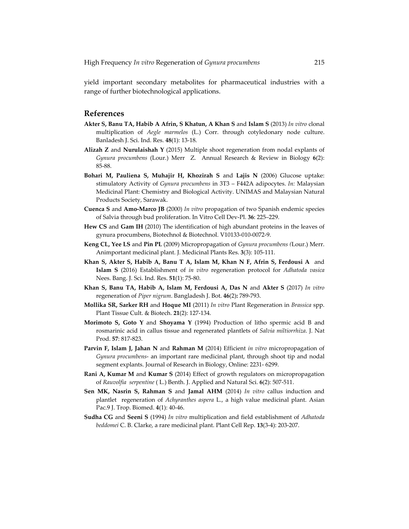yield important secondary metabolites for pharmaceutical industries with a range of further biotechnological applications.

### **References**

- **Akter S, Banu TA, Habib A Afrin, S Khatun, A Khan S** and **Islam S** (2013) *In vitro* clonal multiplication of *Aegle marmelos* (L.) Corr. through cotyledonary node culture. Banladesh J. Sci. Ind. Res. **48**(1): 13‐18.
- **Alizah Z** and **Nurulaishah Y** (2015) Multiple shoot regeneration from nodal explants of *Gynura procumbens* (Lour.) Merr Z. Annual Research & Review in Biology **6**(2): 85‐88.
- **Bohari M, Pauliena S, Muhajir H, Khozirah S** and **Lajis N** (2006) Glucose uptake: stimulatory Activity of *Gynura procumbens* in 3T3 – F442A adipocytes. *In:* Malaysian Medicinal Plant: Chemistry and Biological Activity. UNIMAS and Malaysian Natural Products Society, Sarawak.
- **Cuenca S** and **Amo‐Marco JB** (2000) *In vitro* propagation of two Spanish endemic species of Salvia through bud proliferation. In Vitro Cell Dev‐Pl. **36**: 225–229.
- **Hew CS** and **Gam IH** (2010) The identification of high abundant proteins in the leaves of gynura procumbens, Biotechnol & Biotechnol. V10133‐010‐0072‐9.
- **Keng CL, Yee LS** and **Pin PL** (2009) Micropropagation of *Gynura procumbens (*Lour.) Merr. Animportant medicinal plant. J. Medicinal Plants Res. **3**(3): 105‐111.
- **Khan S, Akter S, Habib A, Banu T A, Islam M, Khan N F, Afrin S, Ferdousi A**  and **Islam S** (2016) Establishment of *in vitro* regeneration protocol for *Adhatoda vasica* Nees. Bang. J. Sci. Ind. Res. **51**(1): 75‐80.
- **Khan S, Banu TA, Habib A, Islam M, Ferdousi A, Das N** and **Akter S** (2017) *In vitro* regeneration of *Piper nigrum*. Bangladesh J. Bot. **46**(2)**:** 789‐793.
- **Mollika SR, Sarker RH** and **Hoque MI** (2011) *In vitro* Plant Regeneration in *Brassica* spp. Plant Tissue Cult. & Biotech. **21**(2): 127‐134.
- **Morimoto S, Goto Y** and **Shoyama Y** (1994) Production of litho spermic acid B and rosmarinic acid in callus tissue and regenerated plantlets of *Salvia miltiorrhiza*. J. Nat Prod. **57**: 817‐823.
- **Parvin F, Islam J, Jahan N** and **Rahman M** (2014) Efficient *in vitro* micropropagation of *Gynura procumbens*‐ an important rare medicinal plant, through shoot tip and nodal segment explants. Journal of Research in Biology, Online: 2231‐ 6299.
- **Rani A, Kumar M** and **Kumar S** (2014) Effect of growth regulators on micropropagation of *Rauvolfia serpentine* ( L.) Benth. J. Applied and Natural Sci. **6**(2): 507‐511.
- **Sen MK, Nasrin S, Rahman S** and **Jamal AHM** (2014) *In vitro* callus induction and plantlet regeneration of *Achyranthes aspera* L., a high value medicinal plant. Asian Pac.9 J. Trop. Biomed. **4**(1): 40‐46.
- **Sudha CG** and **Seeni S** (1994) *In vitro* multiplication and field establishment of *Adhatoda beddomei* C. B. Clarke, a rare medicinal plant. Plant Cell Rep. **13**(3‐4): 203‐207.